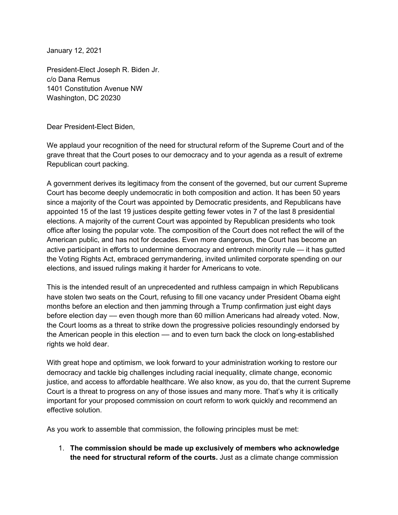January 12, 2021

President-Elect Joseph R. Biden Jr. c/o Dana Remus 1401 Constitution Avenue NW Washington, DC 20230

Dear President-Elect Biden,

We applaud your recognition of the need for structural reform of the Supreme Court and of the grave threat that the Court poses to our democracy and to your agenda as a result of extreme Republican court packing.

A government derives its legitimacy from the consent of the governed, but our current Supreme Court has become deeply undemocratic in both composition and action. It has been 50 years since a majority of the Court was appointed by Democratic presidents, and Republicans have appointed 15 of the last 19 justices despite getting fewer votes in 7 of the last 8 presidential elections. A majority of the current Court was appointed by Republican presidents who took office after losing the popular vote. The composition of the Court does not reflect the will of the American public, and has not for decades. Even more dangerous, the Court has become an active participant in efforts to undermine democracy and entrench minority rule — it has gutted the Voting Rights Act, embraced gerrymandering, invited unlimited corporate spending on our elections, and issued rulings making it harder for Americans to vote.

This is the intended result of an unprecedented and ruthless campaign in which Republicans have stolen two seats on the Court, refusing to fill one vacancy under President Obama eight months before an election and then jamming through a Trump confirmation just eight days before election day –– even though more than 60 million Americans had already voted. Now, the Court looms as a threat to strike down the progressive policies resoundingly endorsed by the American people in this election –– and to even turn back the clock on long-established rights we hold dear.

With great hope and optimism, we look forward to your administration working to restore our democracy and tackle big challenges including racial inequality, climate change, economic justice, and access to affordable healthcare. We also know, as you do, that the current Supreme Court is a threat to progress on any of those issues and many more. That's why it is critically important for your proposed commission on court reform to work quickly and recommend an effective solution.

As you work to assemble that commission, the following principles must be met:

1. **The commission should be made up exclusively of members who acknowledge the need for structural reform of the courts.** Just as a climate change commission